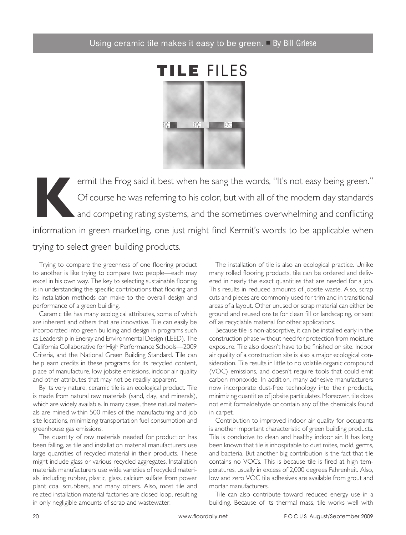

ermit the Frog said it best when he sang the words, "It's not easy being green."<br>Of course he was referring to his color, but with all of the modern day standards<br>and competing rating systems, and the sometimes overwhelmin Of course he was referring to his color, but with all of the modern day standards  $\Box$  and competing rating systems, and the sometimes overwhelming and conflicting information in green marketing, one just might find Kermit's words to be applicable when trying to select green building products.

Trying to compare the greenness of one flooring product to another is like trying to compare two people—each may excel in his own way. The key to selecting sustainable flooring is in understanding the specific contributions that flooring and its installation methods can make to the overall design and performance of a green building.

 Ceramic tile has many ecological attributes, some of which are inherent and others that are innovative. Tile can easily be incorporated into green building and design in programs such as Leadership in Energy and Environmental Design (LEED), The California Collaborative for High Performance Schools—2009 Criteria, and the National Green Building Standard. Tile can help earn credits in these programs for its recycled content, place of manufacture, low jobsite emissions, indoor air quality and other attributes that may not be readily apparent.

 By its very nature, ceramic tile is an ecological product. Tile is made from natural raw materials (sand, clay, and minerals), which are widely available. In many cases, these natural materials are mined within 500 miles of the manufacturing and job site locations, minimizing transportation fuel consumption and greenhouse gas emissions.

 The quantity of raw materials needed for production has been falling, as tile and installation material manufacturers use large quantities of recycled material in their products. These might include glass or various recycled aggregates. Installation materials manufacturers use wide varieties of recycled materials, including rubber, plastic, glass, calcium sulfate from power plant coal scrubbers, and many others. Also, most tile and related installation material factories are closed loop, resulting in only negligible amounts of scrap and wastewater.

 The installation of tile is also an ecological practice. Unlike many rolled flooring products, tile can be ordered and delivered in nearly the exact quantities that are needed for a job. This results in reduced amounts of jobsite waste. Also, scrap cuts and pieces are commonly used for trim and in transitional areas of a layout. Other unused or scrap material can either be ground and reused onsite for clean fill or landscaping, or sent off as recyclable material for other applications.

 Because tile is non-absorptive, it can be installed early in the construction phase without need for protection from moisture exposure. Tile also doesn't have to be finished on site. Indoor air quality of a construction site is also a major ecological consideration. Tile results in little to no volatile organic compound (VOC) emissions, and doesn't require tools that could emit carbon monoxide. In addition, many adhesive manufacturers now incorporate dust-free technology into their products, minimizing quantities of jobsite particulates. Moreover, tile does not emit formaldehyde or contain any of the chemicals found in carpet.

 Contribution to improved indoor air quality for occupants is another important characteristic of green building products. Tile is conducive to clean and healthy indoor air. It has long been known that tile is inhospitable to dust mites, mold, germs, and bacteria. But another big contribution is the fact that tile contains no VOCs. This is because tile is fired at high temperatures, usually in excess of 2,000 degrees Fahrenheit. Also, low and zero VOC tile adhesives are available from grout and mortar manufacturers.

 Tile can also contribute toward reduced energy use in a building. Because of its thermal mass, tile works well with